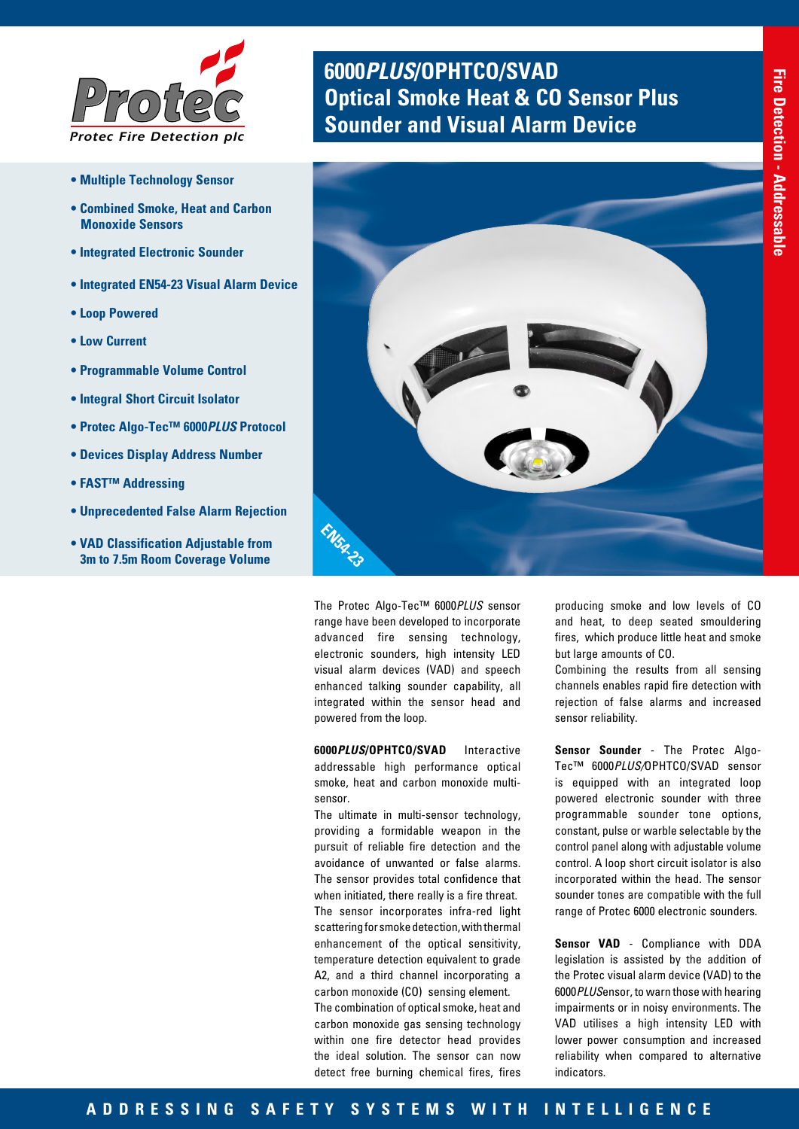

- **Multiple Technology Sensor**
- **Combined Smoke, Heat and Carbon Monoxide Sensors**
- **Integrated Electronic Sounder**
- **Integrated EN54-23 Visual Alarm Device**
- **Loop Powered**
- **Low Current**
- **Programmable Volume Control**
- **Integral Short Circuit Isolator**
- **Protec Algo-Tec™ 6000***PLUS* **Protocol**
- **Devices Display Address Number**
- **FAST™ Addressing**
- **Unprecedented False Alarm Rejection**
- **VAD Classification Adjustable from 3m to 7.5m Room Coverage Volume**

# **6000***PLUS***/OPHTCO/SVAD OPTIC BURGE BEAT A PROPERTY A PROPERTY AND READ PROPERTY A PROPERTY A PROPERTY A PROPERTY A PROPERTY A PROPERTY A PROPERTY A PROPERTY A PROPERTY A PROPERTY A PROPERTY A PROPERTY A PROPERTY A PROPERTY A PROPERTY A PROPERTY**



The Protec Algo-Tec™ 6000*PLUS* sensor range have been developed to incorporate advanced fire sensing technology, electronic sounders, high intensity LED visual alarm devices (VAD) and speech enhanced talking sounder capability, all integrated within the sensor head and powered from the loop.

**6000***PLUS***/OPHTCO/SVAD** Interactive addressable high performance optical smoke, heat and carbon monoxide multisensor.

The ultimate in multi-sensor technology, providing a formidable weapon in the pursuit of reliable fire detection and the avoidance of unwanted or false alarms. The sensor provides total confidence that when initiated, there really is a fire threat. The sensor incorporates infra-red light scattering for smoke detection, with thermal enhancement of the optical sensitivity, temperature detection equivalent to grade A2, and a third channel incorporating a carbon monoxide (CO) sensing element. The combination of optical smoke, heat and

carbon monoxide gas sensing technology within one fire detector head provides the ideal solution. The sensor can now detect free burning chemical fires, fires

producing smoke and low levels of CO and heat, to deep seated smouldering fires, which produce little heat and smoke but large amounts of CO.

Combining the results from all sensing channels enables rapid fire detection with rejection of false alarms and increased sensor reliability.

**Sensor Sounder** - The Protec Algo-Tec™ 6000*PLUS/*OPHTCO/SVAD sensor is equipped with an integrated loop powered electronic sounder with three programmable sounder tone options, constant, pulse or warble selectable by the control panel along with adjustable volume control. A loop short circuit isolator is also incorporated within the head. The sensor sounder tones are compatible with the full range of Protec 6000 electronic sounders.

**Sensor VAD** - Compliance with DDA legislation is assisted by the addition of the Protec visual alarm device (VAD) to the 6000*PLUS*ensor, to warn those with hearing impairments or in noisy environments. The VAD utilises a high intensity LED with lower power consumption and increased reliability when compared to alternative indicators.